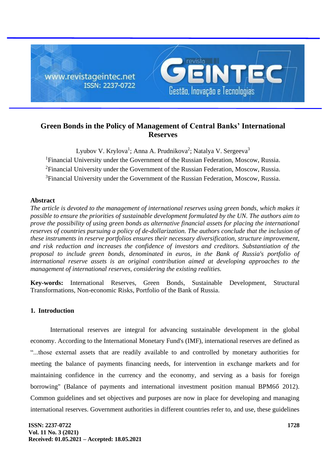

# **Green Bonds in the Policy of Management of Central Banks' International Reserves**

Lyubov V. Krylova<sup>1</sup>; Anna A. Prudnikova<sup>2</sup>; Natalya V. Sergeeva<sup>3</sup> <sup>1</sup>Financial University under the Government of the Russian Federation, Moscow, Russia. <sup>2</sup>Financial University under the Government of the Russian Federation, Moscow, Russia. <sup>3</sup>Financial University under the Government of the Russian Federation, Moscow, Russia.

## **Abstract**

*The article is devoted to the management of international reserves using green bonds, which makes it possible to ensure the priorities of sustainable development formulated by the UN. The authors aim to prove the possibility of using green bonds as alternative financial assets for placing the international reserves of countries pursuing a policy of de-dollarization. The authors conclude that the inclusion of these instruments in reserve portfolios ensures their necessary diversification, structure improvement, and risk reduction and increases the confidence of investors and creditors. Substantiation of the proposal to include green bonds, denominated in euros, in the Bank of Russia's portfolio of international reserve assets is an original contribution aimed at developing approaches to the management of international reserves, considering the existing realities.*

**Key-words:** International Reserves, Green Bonds, Sustainable Development, Structural Transformations, Non-economic Risks, Portfolio of the Bank of Russia.

## **1. Introduction**

International reserves are integral for advancing sustainable development in the global economy. According to the International Monetary Fund's (IMF), international reserves are defined as "...those external assets that are readily available to and controlled by monetary authorities for meeting the balance of payments financing needs, for intervention in exchange markets and for maintaining confidence in the currency and the economy, and serving as a basis for foreign borrowing" (Balance of payments and international investment position manual BPM6б 2012). Common guidelines and set objectives and purposes are now in place for developing and managing international reserves. Government authorities in different countries refer to, and use, these guidelines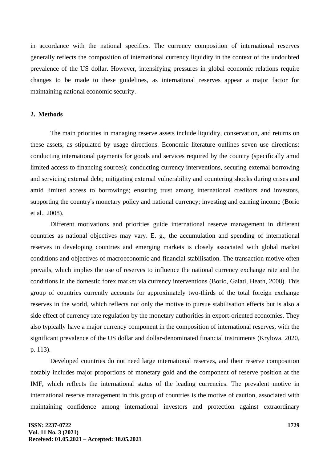in accordance with the national specifics. The currency composition of international reserves generally reflects the composition of international currency liquidity in the context of the undoubted prevalence of the US dollar. However, intensifying pressures in global economic relations require changes to be made to these guidelines, as international reserves appear a major factor for maintaining national economic security.

#### **2. Methods**

The main priorities in managing reserve assets include liquidity, conservation, and returns on these assets, as stipulated by usage directions. Economic literature outlines seven use directions: conducting international payments for goods and services required by the country (specifically amid limited access to financing sources); conducting currency interventions, securing external borrowing and servicing external debt; mitigating external vulnerability and countering shocks during crises and amid limited access to borrowings; ensuring trust among international creditors and investors, supporting the country's monetary policy and national currency; investing and earning income (Borio et al., 2008).

Different motivations and priorities guide international reserve management in different countries as national objectives may vary. E. g., the accumulation and spending of international reserves in developing countries and emerging markets is closely associated with global market conditions and objectives of macroeconomic and financial stabilisation. The transaction motive often prevails, which implies the use of reserves to influence the national currency exchange rate and the conditions in the domestic forex market via currency interventions (Borio, Galati, Heath, 2008). This group of countries currently accounts for approximately two-thirds of the total foreign exchange reserves in the world, which reflects not only the motive to pursue stabilisation effects but is also a side effect of currency rate regulation by the monetary authorities in export-oriented economies. They also typically have a major currency component in the composition of international reserves, with the significant prevalence of the US dollar and dollar-denominated financial instruments (Krylova, 2020, p. 113).

Developed countries do not need large international reserves, and their reserve composition notably includes major proportions of monetary gold and the component of reserve position at the IMF, which reflects the international status of the leading currencies. The prevalent motive in international reserve management in this group of countries is the motive of caution, associated with maintaining confidence among international investors and protection against extraordinary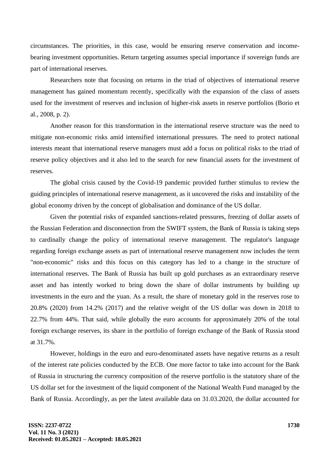circumstances. The priorities, in this case, would be ensuring reserve conservation and incomebearing investment opportunities. Return targeting assumes special importance if sovereign funds are part of international reserves.

Researchers note that focusing on returns in the triad of objectives of international reserve management has gained momentum recently, specifically with the expansion of the class of assets used for the investment of reserves and inclusion of higher-risk assets in reserve portfolios (Borio et al., 2008, p. 2).

Another reason for this transformation in the international reserve structure was the need to mitigate non-economic risks amid intensified international pressures. The need to protect national interests meant that international reserve managers must add a focus on political risks to the triad of reserve policy objectives and it also led to the search for new financial assets for the investment of reserves.

The global crisis caused by the Covid-19 pandemic provided further stimulus to review the guiding principles of international reserve management, as it uncovered the risks and instability of the global economy driven by the concept of globalisation and dominance of the US dollar.

Given the potential risks of expanded sanctions-related pressures, freezing of dollar assets of the Russian Federation and disconnection from the SWIFT system, the Bank of Russia is taking steps to cardinally change the policy of international reserve management. The regulator's language regarding foreign exchange assets as part of international reserve management now includes the term "non-economic" risks and this focus on this category has led to a change in the structure of international reserves. The Bank of Russia has built up gold purchases as an extraordinary reserve asset and has intently worked to bring down the share of dollar instruments by building up investments in the euro and the yuan. As a result, the share of monetary gold in the reserves rose to 20.8% (2020) from 14.2% (2017) and the relative weight of the US dollar was down in 2018 to 22.7% from 44%. That said, while globally the euro accounts for approximately 20% of the total foreign exchange reserves, its share in the portfolio of foreign exchange of the Bank of Russia stood at 31.7%.

However, holdings in the euro and euro-denominated assets have negative returns as a result of the interest rate policies conducted by the ECB. One more factor to take into account for the Bank of Russia in structuring the currency composition of the reserve portfolio is the statutory share of the US dollar set for the investment of the liquid component of the National Wealth Fund managed by the Bank of Russia. Accordingly, as per the latest available data on 31.03.2020, the dollar accounted for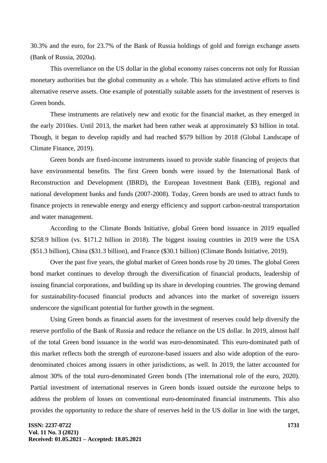30.3% and the euro, for 23.7% of the Bank of Russia holdings of gold and foreign exchange assets (Bank of Russia, 2020a).

This overreliance on the US dollar in the global economy raises concerns not only for Russian monetary authorities but the global community as a whole. This has stimulated active efforts to find alternative reserve assets. One example of potentially suitable assets for the investment of reserves is Green bonds.

These instruments are relatively new and exotic for the financial market, as they emerged in the early 2010ies. Until 2013, the market had been rather weak at approximately \$3 billion in total. Though, it began to develop rapidly and had reached \$579 billion by 2018 (Global Landscape of Climate Finance, 2019).

Green bonds are fixed-income instruments issued to provide stable financing of projects that have environmental benefits. The first Green bonds were issued by the International Bank of Reconstruction and Development (IBRD), the European Investment Bank (EIB), regional and national development banks and funds (2007-2008). Today, Green bonds are used to attract funds to finance projects in renewable energy and energy efficiency and support carbon-neutral transportation and water management.

According to the Climate Bonds Initiative, global Green bond issuance in 2019 equalled \$258.9 billion (vs. \$171.2 billion in 2018). The biggest issuing countries in 2019 were the USA (\$51.3 billion), China (\$31.3 billion), and France (\$30.1 billion) (Climate Bonds Initiative, 2019).

Over the past five years, the global market of Green bonds rose by 20 times. The global Green bond market continues to develop through the diversification of financial products, leadership of issuing financial corporations, and building up its share in developing countries. The growing demand for sustainability-focused financial products and advances into the market of sovereign issuers underscore the significant potential for further growth in the segment.

Using Green bonds as financial assets for the investment of reserves could help diversify the reserve portfolio of the Bank of Russia and reduce the reliance on the US dollar. In 2019, almost half of the total Green bond issuance in the world was euro-denominated. This euro-dominated path of this market reflects both the strength of eurozone-based issuers and also wide adoption of the eurodenominated choices among issuers in other jurisdictions, as well. In 2019, the latter accounted for almost 30% of the total euro-denominated Green bonds (The international role of the euro, 2020). Partial investment of international reserves in Green bonds issued outside the eurozone helps to address the problem of losses on conventional euro-denominated financial instruments. This also provides the opportunity to reduce the share of reserves held in the US dollar in line with the target,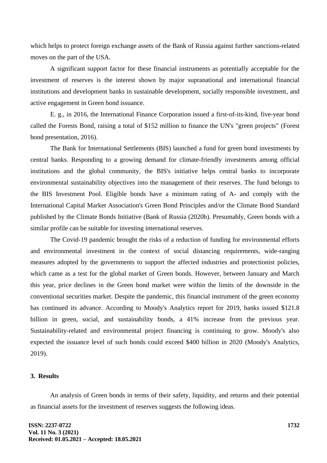which helps to protect foreign exchange assets of the Bank of Russia against further sanctions-related moves on the part of the USA.

A significant support factor for these financial instruments as potentially acceptable for the investment of reserves is the interest shown by major supranational and international financial institutions and development banks in sustainable development, socially responsible investment, and active engagement in Green bond issuance.

E. g., in 2016, the International Finance Corporation issued a first-of-its-kind, five-year bond called the Forests Bond, raising a total of \$152 million to finance the UN's "green projects" (Forest bond presentation, 2016).

The Bank for International Settlements (BIS) launched a fund for green bond investments by central banks. Responding to a growing demand for climate-friendly investments among official institutions and the global community, the BIS's initiative helps central banks to incorporate environmental sustainability objectives into the management of their reserves. The fund belongs to the BIS Investment Pool. Eligible bonds have a minimum rating of A- and comply with the International Capital Market Association's Green Bond Principles and/or the Climate Bond Standard published by the Climate Bonds Initiative (Bank of Russia (2020b). Presumably, Green bonds with a similar profile can be suitable for investing international reserves.

The Covid-19 pandemic brought the risks of a reduction of funding for environmental efforts and environmental investment in the context of social distancing requirements, wide-ranging measures adopted by the governments to support the affected industries and protectionist policies, which came as a test for the global market of Green bonds. However, between January and March this year, price declines in the Green bond market were within the limits of the downside in the conventional securities market. Despite the pandemic, this financial instrument of the green economy has continued its advance. According to Moody's Analytics report for 2019, banks issued \$121.8 billion in green, social, and sustainability bonds, a 41% increase from the previous year. Sustainability-related and environmental project financing is continuing to grow. Moody's also expected the issuance level of such bonds could exceed \$400 billion in 2020 (Moody's Analytics, 2019).

### **3. Results**

An analysis of Green bonds in terms of their safety, liquidity, and returns and their potential as financial assets for the investment of reserves suggests the following ideas.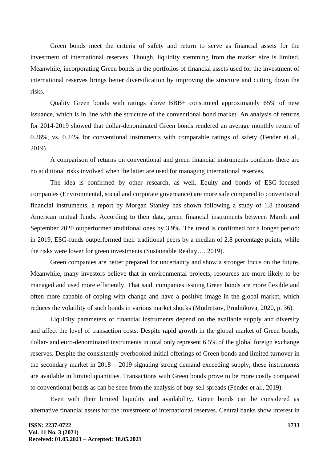Green bonds meet the criteria of safety and return to serve as financial assets for the investment of international reserves. Though, liquidity stemming from the market size is limited. Meanwhile, incorporating Green bonds in the portfolios of financial assets used for the investment of international reserves brings better diversification by improving the structure and cutting down the risks.

Quality Green bonds with ratings above BBB+ constituted approximately 65% of new issuance, which is in line with the structure of the conventional bond market. An analysis of returns for 2014-2019 showed that dollar-denominated Green bonds rendered an average monthly return of 0.26%, vs. 0.24% for conventional instruments with comparable ratings of safety (Fender et al., 2019).

A comparison of returns on conventional and green financial instruments confirms there are no additional risks involved when the latter are used for managing international reserves.

The idea is confirmed by other research, as well. Equity and bonds of ESG-focused companies (Environmental, social and corporate governance) are more safe compared to conventional financial instruments, a report by Morgan Stanley has shown following a study of 1.8 thousand American mutual funds. According to their data, green financial instruments between March and September 2020 outperformed traditional ones by 3.9%. The trend is confirmed for a longer period: in 2019, ESG-funds outperformed their traditional peers by a median of 2.8 percentage points, while the risks were lower for green investments (Sustainable Reality…, 2019).

Green companies are better prepared for uncertainty and show a stronger focus on the future. Meanwhile, many investors believe that in environmental projects, resources are more likely to be managed and used more efficiently. That said, companies issuing Green bonds are more flexible and often more capable of coping with change and have a positive image in the global market, which reduces the volatility of such bonds in various market shocks (Mudretsov, Prudnikova, 2020, p. 36).

Liquidity parameters of financial instruments depend on the available supply and diversity and affect the level of transaction costs. Despite rapid growth in the global market of Green bonds, dollar- and euro-denominated instruments in total only represent 6.5% of the global foreign exchange reserves. Despite the consistently overbooked initial offerings of Green bonds and limited turnover in the secondary market in 2018 – 2019 signaling strong demand exceeding supply, these instruments are available in limited quantities. Transactions with Green bonds prove to be more costly compared to conventional bonds as can be seen from the analysis of buy-sell spreads (Fender et al., 2019).

Even with their limited liquidity and availability, Green bonds can be considered as alternative financial assets for the investment of international reserves. Central banks show interest in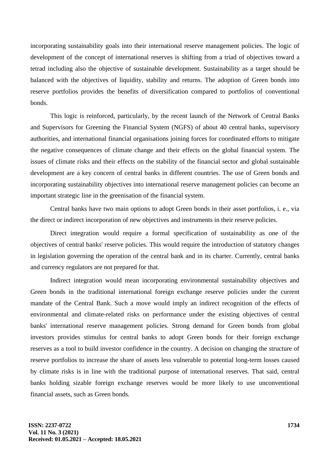incorporating sustainability goals into their international reserve management policies. The logic of development of the concept of international reserves is shifting from a triad of objectives toward a tetrad including also the objective of sustainable development. Sustainability as a target should be balanced with the objectives of liquidity, stability and returns. The adoption of Green bonds into reserve portfolios provides the benefits of diversification compared to portfolios of conventional bonds.

This logic is reinforced, particularly, by the recent launch of the Network of Central Banks and Supervisors for Greening the Financial System (NGFS) of about 40 central banks, supervisory authorities, and international financial organisations joining forces for coordinated efforts to mitigate the negative consequences of climate change and their effects on the global financial system. The issues of climate risks and their effects on the stability of the financial sector and global sustainable development are a key concern of central banks in different countries. The use of Green bonds and incorporating sustainability objectives into international reserve management policies can become an important strategic line in the greenisation of the financial system.

Central banks have two main options to adopt Green bonds in their asset portfolios, i. e., via the direct or indirect incorporation of new objectives and instruments in their reserve policies.

Direct integration would require a formal specification of sustainability as one of the objectives of central banks' reserve policies. This would require the introduction of statutory changes in legislation governing the operation of the central bank and in its charter. Currently, central banks and currency regulators are not prepared for that.

Indirect integration would mean incorporating environmental sustainability objectives and Green bonds in the traditional international foreign exchange reserve policies under the current mandate of the Central Bank. Such a move would imply an indirect recognition of the effects of environmental and climate-related risks on performance under the existing objectives of central banks' international reserve management policies. Strong demand for Green bonds from global investors provides stimulus for central banks to adopt Green bonds for their foreign exchange reserves as a tool to build investor confidence in the country. A decision on changing the structure of reserve portfolios to increase the share of assets less vulnerable to potential long-term losses caused by climate risks is in line with the traditional purpose of international reserves. That said, central banks holding sizable foreign exchange reserves would be more likely to use unconventional financial assets, such as Green bonds.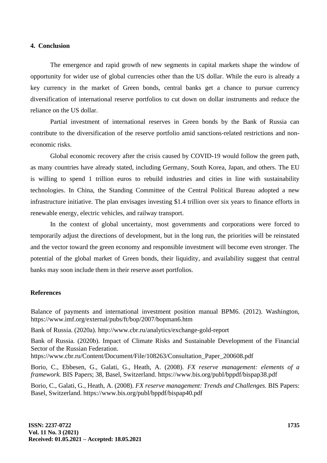#### **4. Conclusion**

The emergence and rapid growth of new segments in capital markets shape the window of opportunity for wider use of global currencies other than the US dollar. While the euro is already a key currency in the market of Green bonds, central banks get a chance to pursue currency diversification of international reserve portfolios to cut down on dollar instruments and reduce the reliance on the US dollar.

Partial investment of international reserves in Green bonds by the Bank of Russia can contribute to the diversification of the reserve portfolio amid sanctions-related restrictions and noneconomic risks.

Global economic recovery after the crisis caused by COVID-19 would follow the green path, as many countries have already stated, including Germany, South Korea, Japan, and others. The EU is willing to spend 1 trillion euros to rebuild industries and cities in line with sustainability technologies. In China, the Standing Committee of the Central Political Bureau adopted a new infrastructure initiative. The plan envisages investing \$1.4 trillion over six years to finance efforts in renewable energy, electric vehicles, and railway transport.

In the context of global uncertainty, most governments and corporations were forced to temporarily adjust the directions of development, but in the long run, the priorities will be reinstated and the vector toward the green economy and responsible investment will become even stronger. The potential of the global market of Green bonds, their liquidity, and availability suggest that central banks may soon include them in their reserve asset portfolios.

## **References**

Balance of payments and international investment position manual BPM6. (2012). Washington, https://www.imf.org/external/pubs/ft/bop/2007/bopman6.htm

Bank of Russia. (2020a). http://www.cbr.ru/analytics/exchange-gold-report

Bank of Russia. (2020b). Impact of Climate Risks and Sustainable Development of the Financial Sector of the Russian Federation.

https://www.cbr.ru/Content/Document/File/108263/Consultation\_Paper\_200608.pdf

Borio, C., Ebbesen, G., Galati, G., Heath, A. (2008). *FX reserve management: elements of a framework.* BIS Papers; 38, Basel, Switzerland. https://www.bis.org/publ/bppdf/bispap38.pdf

Borio, C., Galati, G., Heath, A. (2008). *FX reserve management: Trends and Challenges.* BIS Papers: Basel, Switzerland. https://www.bis.org/publ/bppdf/bispap40.pdf